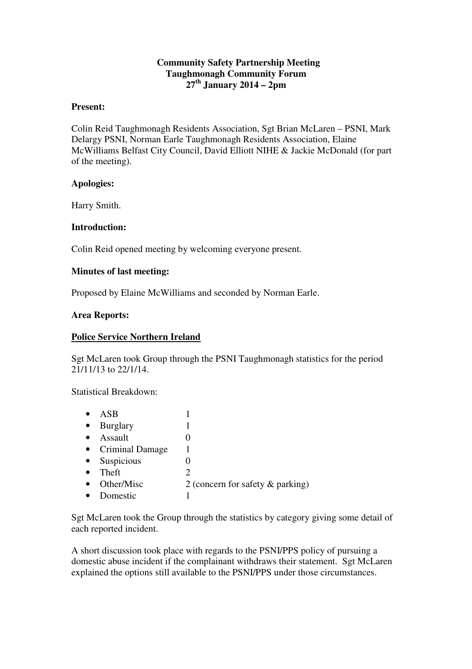## **Community Safety Partnership Meeting Taughmonagh Community Forum 27th January 2014 – 2pm**

### **Present:**

Colin Reid Taughmonagh Residents Association, Sgt Brian McLaren – PSNI, Mark Delargy PSNI, Norman Earle Taughmonagh Residents Association, Elaine McWilliams Belfast City Council, David Elliott NIHE & Jackie McDonald (for part of the meeting).

## **Apologies:**

Harry Smith.

## **Introduction:**

Colin Reid opened meeting by welcoming everyone present.

## **Minutes of last meeting:**

Proposed by Elaine McWilliams and seconded by Norman Earle.

#### **Area Reports:**

#### **Police Service Northern Ireland**

Sgt McLaren took Group through the PSNI Taughmonagh statistics for the period 21/11/13 to 22/1/14.

Statistical Breakdown:

| ASB                    |                                     |
|------------------------|-------------------------------------|
| <b>Burglary</b>        |                                     |
| Assault                | 0                                   |
| <b>Criminal Damage</b> |                                     |
| Suspicious             | 0                                   |
| Theft                  | 2                                   |
| Other/Misc             | 2 (concern for safety $\&$ parking) |
| Domestic               |                                     |

Sgt McLaren took the Group through the statistics by category giving some detail of each reported incident.

A short discussion took place with regards to the PSNI/PPS policy of pursuing a domestic abuse incident if the complainant withdraws their statement. Sgt McLaren explained the options still available to the PSNI/PPS under those circumstances.